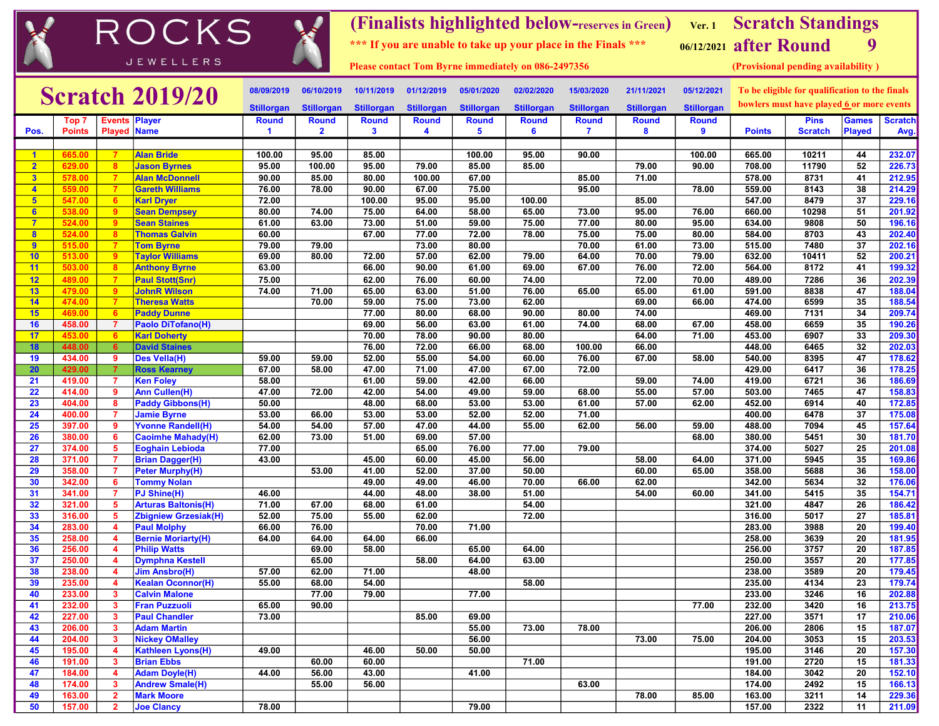|                                  |                  |                              | ROCKS                                             |                   |                   |                   |                   |                   |                                                               |                   | (Finalists highlighted below-reserves in Green) Ver. 1 Scratch Standings |                                                |                                           |                                    |                 |                  |
|----------------------------------|------------------|------------------------------|---------------------------------------------------|-------------------|-------------------|-------------------|-------------------|-------------------|---------------------------------------------------------------|-------------------|--------------------------------------------------------------------------|------------------------------------------------|-------------------------------------------|------------------------------------|-----------------|------------------|
|                                  |                  |                              |                                                   |                   |                   |                   |                   |                   | *** If you are unable to take up your place in the Finals *** |                   |                                                                          |                                                | 06/12/2021 after Round                    |                                    | 9               |                  |
|                                  |                  |                              | <b>JEWELLERS</b>                                  |                   |                   |                   |                   |                   | <b>Please contact Tom Byrne immediately on 086-2497356</b>    |                   |                                                                          |                                                |                                           | (Provisional pending availability) |                 |                  |
| <b>Scratch 2019/20</b>           |                  |                              | 08/09/2019                                        | 06/10/2019        | 10/11/2019        | 01/12/2019        | 05/01/2020        | 02/02/2020        | 15/03/2020                                                    | 21/11/2021        | 05/12/2021                                                               | To be eligible for qualification to the finals |                                           |                                    |                 |                  |
|                                  |                  |                              | <b>Stillorgan</b>                                 | <b>Stillorgan</b> | <b>Stillorgan</b> | <b>Stillorgan</b> | <b>Stillorgan</b> | <b>Stillorgan</b> | <b>Stillorgan</b>                                             | <b>Stillorgan</b> | <b>Stillorgan</b>                                                        |                                                | bowlers must have played 6 or more events |                                    |                 |                  |
|                                  | Top 7            | <b>Events</b>                | <b>Player</b>                                     | <b>Round</b>      | <b>Round</b>      | <b>Round</b>      | <b>Round</b>      | <b>Round</b>      | <b>Round</b>                                                  | <b>Round</b>      | <b>Round</b>                                                             | <b>Round</b>                                   |                                           | <b>Pins</b>                        | <b>Games</b>    | <b>Scratch</b>   |
| Pos.                             | <b>Points</b>    | <b>Played Name</b>           |                                                   | -1                | $\mathbf{2}$      | 3                 | 4                 | 5                 | 6                                                             | $\overline{7}$    | 8                                                                        | 9                                              | <b>Points</b>                             | <b>Scratch</b>                     | <b>Played</b>   | Avg.             |
|                                  |                  |                              |                                                   |                   |                   |                   |                   |                   |                                                               |                   |                                                                          |                                                |                                           |                                    |                 |                  |
| $\mathbf{1}$<br>2 <sup>1</sup>   | 665.00           | $\overline{7}$               | <b>Alan Bride</b>                                 | 100.00<br>95.00   | 95.00<br>100.00   | 85.00<br>95.00    | 79.00             | 100.00<br>85.00   | 95.00<br>85.00                                                | 90.00             | 79.00                                                                    | 100.00<br>90.00                                | 665.00<br>708.00                          | 10211<br>11790                     | 44<br>52        | 232.07<br>226.73 |
|                                  | 629.00           | -8<br>$\overline{7}$         | <b>Jason Byrnes</b>                               | 90.00             | 85.00             | 80.00             | 100.00            | 67.00             |                                                               |                   | 71.00                                                                    |                                                | 578.00                                    | 8731                               | 41              |                  |
| 3 <sup>2</sup><br>$\overline{4}$ | 578.00<br>559.00 | $\overline{7}$               | <b>Alan McDonnell</b><br><b>Gareth Williams</b>   | 76.00             | 78.00             | 90.00             | 67.00             | 75.00             |                                                               | 85.00<br>95.00    |                                                                          | 78.00                                          | 559.00                                    | 8143                               | 38              | 212.95<br>214.29 |
| 5 <sub>5</sub>                   | 547.00           | 6                            | <b>Karl Dryer</b>                                 | 72.00             |                   | 100.00            | 95.00             | 95.00             | 100.00                                                        |                   | 85.00                                                                    |                                                | 547.00                                    | 8479                               | 37              | 229.16           |
| 6                                | 538.00           | -9                           | <b>Sean Dempsey</b>                               | 80.00             | 74.00             | 75.00             | 64.00             | 58.00             | 65.00                                                         | 73.00             | 95.00                                                                    | 76.00                                          | 660.00                                    | 10298                              | 51              | 201.92           |
| $\overline{7}$                   | 524.00           | 9                            | <b>Sean Staines</b>                               | 61.00             | 63.00             | 73.00             | 51.00             | 59.00             | 75.00                                                         | 77.00             | 80.00                                                                    | 95.00                                          | 634.00                                    | 9808                               | 50              | 196.16           |
| $\overline{\mathbf{8}}$          | 524.00           | -8                           | <b>Thomas Galvin</b>                              | 60.00             |                   | 67.00             | 77.00             | 72.00             | 78.00                                                         | 75.00             | 75.00                                                                    | 80.00                                          | 584.00                                    | 8703                               | 43              | 202.40           |
| 9                                | 515.00           | $\overline{7}$               | <b>Tom Byrne</b>                                  | 79.00             | 79.00             |                   | 73.00             | 80.00             |                                                               | 70.00             | 61.00                                                                    | 73.00                                          | 515.00                                    | 7480                               | 37              | 202.16           |
| 10                               | 513.00           | 9                            | <b>Taylor Williams</b>                            | 69.00             | 80.00             | 72.00             | 57.00             | 62.00             | 79.00                                                         | 64.00             | 70.00                                                                    | 79.00                                          | 632.00                                    | 10411                              | 52              | 200.21           |
| 11                               | 503.00           | $\overline{\mathbf{8}}$      | <b>Anthony Byrne</b>                              | 63.00             |                   | 66.00             | 90.00             | 61.00             | 69.00                                                         | 67.00             | 76.00                                                                    | 72.00                                          | 564.00                                    | 8172                               | 41              | 199.32           |
| 12                               | 489.00           | $\overline{7}$               | <b>Paul Stott(Snr)</b>                            | 75.00             |                   | 62.00             | 76.00             | 60.00             | 74.00                                                         |                   | 72.00                                                                    | 70.00                                          | 489.00                                    | 7286                               | 36              | 202.39           |
| 13                               | 479.00           | -9                           | <b>JohnR Wilson</b>                               | 74.00             | 71.00             | 65.00             | 63.00             | 51.00             | 76.00                                                         | 65.00             | 65.00                                                                    | 61.00                                          | 591.00                                    | 8838                               | 47              | 188.04           |
| 14                               | 474.00           | -7                           | <b>Theresa Watts</b>                              |                   | 70.00             | 59.00             | 75.00             | 73.00             | 62.00                                                         |                   | 69.00                                                                    | 66.00                                          | 474.00<br>469.00                          | 6599                               | $\overline{35}$ | 188.54           |
| 15<br>16                         | 469.00<br>458.00 | 6                            | <b>Paddy Dunne</b><br><b>Paolo DiTofano(H)</b>    |                   |                   | 77.00<br>69.00    | 80.00             | 68.00<br>63.00    | 90.00<br>61.00                                                | 80.00<br>74.00    | 74.00                                                                    |                                                | 458.00                                    | 7131<br>6659                       | 34<br>35        | 209.74           |
| 17                               | 453.00           | - 7<br>6                     | <b>Karl Doherty</b>                               |                   |                   | 70.00             | 56.00<br>78.00    | 90.00             | 80.00                                                         |                   | 68.00<br>64.00                                                           | 67.00<br>71.00                                 | 453.00                                    | 6907                               | 33              | 190.26<br>209.30 |
| 18                               | 448.00           | 6                            | <b>David Staines</b>                              |                   |                   | 76.00             | 72.00             | 66.00             | 68.00                                                         | 100.00            | 66.00                                                                    |                                                | 448.00                                    | 6465                               | 32              | 202.03           |
| 19                               | 434.00           | 9                            | <b>Des Vella(H)</b>                               | 59.00             | 59.00             | 52.00             | 55.00             | 54.00             | 60.00                                                         | 76.00             | 67.00                                                                    | 58.00                                          | 540.00                                    | 8395                               | 47              | 178.62           |
| 20                               | 429.00           | $\overline{7}$               | <b>Ross Kearney</b>                               | 67.00             | 58.00             | 47.00             | 71.00             | 47.00             | 67.00                                                         | 72.00             |                                                                          |                                                | 429.00                                    | 6417                               | 36              | 178.25           |
| 21                               | 419.00           | $\overline{7}$               | <b>Ken Foley</b>                                  | 58.00             |                   | 61.00             | 59.00             | 42.00             | 66.00                                                         |                   | 59.00                                                                    | 74.00                                          | 419.00                                    | 6721                               | 36              | 186.69           |
| 22                               | 414.00           | 9                            | <b>Ann Cullen(H)</b>                              | 47.00             | 72.00             | 42.00             | 54.00             | 49.00             | 59.00                                                         | 68.00             | 55.00                                                                    | 57.00                                          | 503.00                                    | 7465                               | 47              | 158.83           |
| 23                               | 404.00           | 8                            | <b>Paddy Gibbons(H)</b>                           | 50.00             |                   | 48.00             | 68.00             | 53.00             | 53.00                                                         | 61.00             | 57.00                                                                    | 62.00                                          | 452.00                                    | 6914                               | 40              | 172.85           |
| 24                               | 400.00           | $\overline{7}$               | <b>Jamie Byrne</b>                                | 53.00             | 66.00             | 53.00             | 53.00             | 52.00             | 52.00                                                         | 71.00             |                                                                          |                                                | 400.00                                    | 6478                               | 37              | 175.08           |
| 25                               | 397.00           | 9                            | <b>Yvonne Randell(H)</b>                          | 54.00             | 54.00             | 57.00             | 47.00             | 44.00             | 55.00                                                         | 62.00             | 56.00                                                                    | 59.00                                          | 488.00                                    | 7094                               | 45              | 157.64           |
| 26                               | 380.00           | 6                            | <b>Caoimhe Mahady(H)</b>                          | 62.00             | 73.00             | 51.00             | 69.00             | 57.00             |                                                               |                   |                                                                          | 68.00                                          | 380.00                                    | 5451                               | 30              | 181.70           |
| 27                               | 374.00           | -5                           | <b>Eoghain Lebioda</b>                            | 77.00             |                   |                   | 65.00             | 76.00             | 77.00                                                         | 79.00             |                                                                          |                                                | 374.00                                    | 5027                               | 25              | 201.08           |
| 28                               | 371.00           | -7                           | <b>Brian Dagger(H)</b>                            | 43.00             |                   | 45.00             | 60.00             | 45.00             | 56.00                                                         |                   | 58.00                                                                    | 64.00                                          | 371.00                                    | 5945                               | 35              | 169.86           |
| 29                               | 358.00           | 7                            | <b>Peter Murphy(H)</b>                            |                   | 53.00             | 41.00             | 52.00             | 37.00             | 50.00                                                         |                   | 60.00                                                                    | 65.00                                          | 358.00                                    | 5688                               | 36              | 158.00           |
| 30                               | 342.00           | 6<br>$\overline{7}$          | <b>Tommy Nolan</b>                                |                   |                   | 49.00             | 49.00             | 46.00             | 70.00                                                         | 66.00             | 62.00                                                                    |                                                | 342.00                                    | 5634                               | 32              | 176.06           |
| 31<br>32                         | 341.00<br>321.00 | -5                           | PJ Shine(H)<br><b>Arturas Baltonis(H)</b>         | 46.00<br>71.00    | 67.00             | 44.00<br>68.00    | 48.00<br>61.00    | 38.00             | 51.00<br>54.00                                                |                   | 54.00                                                                    | 60.00                                          | 341.00<br>321.00                          | 5415<br>4847                       | 35<br>26        | 154.71<br>186.42 |
| 33                               | 316.00           | -5                           | <b>Zbigniew Grzesiak(H)</b>                       | 52.00             | 75.00             | 55.00             | 62.00             |                   | 72.00                                                         |                   |                                                                          |                                                | 316.00                                    | 5017                               | 27              | 185.81           |
| 34                               | 283.00           | $\overline{\mathbf{4}}$      | <b>Paul Molphy</b>                                | 66.00             | 76.00             |                   | 70.00             | 71.00             |                                                               |                   |                                                                          |                                                | 283.00                                    | 3988                               | 20              | 199.40           |
| 35                               | 258.00           | 4                            | <b>Bernie Moriarty(H)</b>                         | 64.00             | 64.00             | 64.00             | 66.00             |                   |                                                               |                   |                                                                          |                                                | 258.00                                    | 3639                               | 20              | 181.95           |
| 36                               | 256.00           | 4                            | <b>Philip Watts</b>                               |                   | 69.00             | 58.00             |                   | 65.00             | 64.00                                                         |                   |                                                                          |                                                | 256.00                                    | 3757                               | 20              | 187.85           |
| 37                               | 250.00           | $\overline{\mathbf{4}}$      | <b>Dymphna Kestell</b>                            |                   | 65.00             |                   | 58.00             | 64.00             | 63.00                                                         |                   |                                                                          |                                                | 250.00                                    | 3557                               | 20              | 177.85           |
| 38                               | 238.00           | $\overline{4}$               | <b>Jim Ansbro(H)</b>                              | 57.00             | 62.00             | 71.00             |                   | 48.00             |                                                               |                   |                                                                          |                                                | 238.00                                    | 3589                               | 20              | 179.45           |
| 39                               | 235.00           | 4                            | <b>Kealan Oconnor(H)</b>                          | 55.00             | 68.00             | 54.00             |                   |                   | 58.00                                                         |                   |                                                                          |                                                | 235.00                                    | 4134                               | 23              | 179.74           |
| 40                               | 233.00           | $\mathbf{3}$                 | <b>Calvin Malone</b>                              |                   | 77.00             | 79.00             |                   | 77.00             |                                                               |                   |                                                                          |                                                | 233.00                                    | 3246                               | 16              | 202.88           |
| 41                               | 232.00           | $\mathbf{3}$                 | <b>Fran Puzzuoli</b>                              | 65.00             | 90.00             |                   |                   |                   |                                                               |                   |                                                                          | 77.00                                          | 232.00                                    | 3420                               | 16              | 213.75           |
| 42                               | 227.00           | $\overline{\mathbf{3}}$      | <b>Paul Chandler</b>                              | 73.00             |                   |                   | 85.00             | 69.00             |                                                               |                   |                                                                          |                                                | 227.00                                    | 3571                               | 17              | 210.06           |
| 43                               | 206.00           | $\mathbf{3}$                 | <b>Adam Martin</b>                                |                   |                   |                   |                   | 55.00             | 73.00                                                         | 78.00             |                                                                          |                                                | 206.00                                    | 2806                               | 15              | 187.07           |
| 44<br>45                         | 204.00<br>195.00 | 3<br>$\overline{\mathbf{4}}$ | <b>Nickey OMalley</b><br><b>Kathleen Lyons(H)</b> | 49.00             |                   | 46.00             | 50.00             | 56.00<br>50.00    |                                                               |                   | 73.00                                                                    | 75.00                                          | 204.00<br>195.00                          | 3053<br>3146                       | 15<br>20        | 203.53<br>157.30 |
| 46                               | 191.00           | $\mathbf{3}$                 | <b>Brian Ebbs</b>                                 |                   | 60.00             | 60.00             |                   |                   | 71.00                                                         |                   |                                                                          |                                                | 191.00                                    | 2720                               | 15              | 181.33           |
| 47                               | 184.00           | $\boldsymbol{4}$             | <b>Adam Doyle(H)</b>                              | 44.00             | 56.00             | 43.00             |                   | 41.00             |                                                               |                   |                                                                          |                                                | 184.00                                    | 3042                               | 20              | 152.10           |
| 48                               | 174.00           | $\mathbf{3}$                 | <b>Andrew Smale(H)</b>                            |                   | 55.00             | 56.00             |                   |                   |                                                               | 63.00             |                                                                          |                                                | 174.00                                    | 2492                               | 15              | 166.13           |
| 49                               | 163.00           | $\overline{2}$               | <b>Mark Moore</b>                                 |                   |                   |                   |                   |                   |                                                               |                   | 78.00                                                                    | 85.00                                          | 163.00                                    | 3211                               | 14              | 229.36           |
| 50                               | 157.00           | $\overline{2}$               | <b>Joe Clancy</b>                                 | 78.00             |                   |                   |                   | 79.00             |                                                               |                   |                                                                          |                                                | 157.00                                    | 2322                               | 11              | 211.09           |